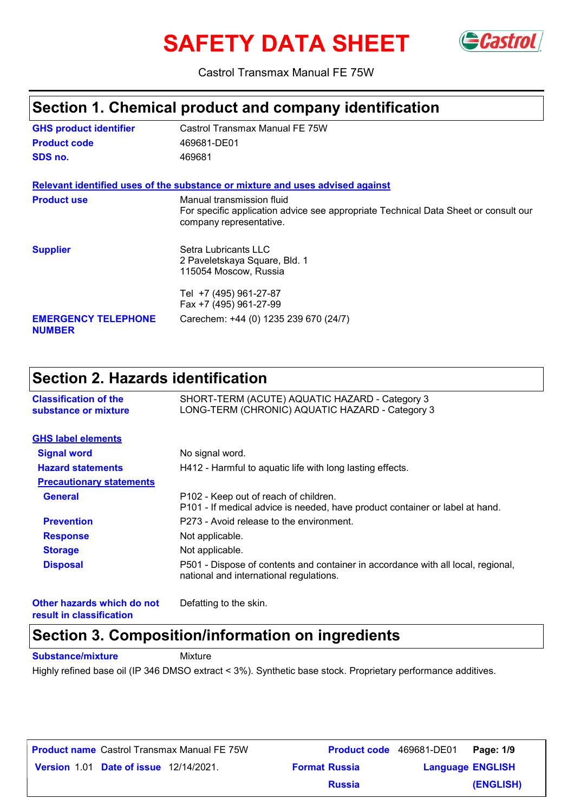# **SAFETY DATA SHEET** GCastrol



Castrol Transmax Manual FE 75W

### **Section 1. Chemical product and company identification**

| <b>GHS product identifier</b>               | Castrol Transmax Manual FE 75W                                                                                                              |
|---------------------------------------------|---------------------------------------------------------------------------------------------------------------------------------------------|
| <b>Product code</b>                         | 469681-DE01                                                                                                                                 |
| SDS no.                                     | 469681                                                                                                                                      |
|                                             | Relevant identified uses of the substance or mixture and uses advised against                                                               |
| <b>Product use</b>                          | Manual transmission fluid<br>For specific application advice see appropriate Technical Data Sheet or consult our<br>company representative. |
| <b>Supplier</b>                             | Setra Lubricants LLC<br>2 Paveletskaya Square, Bld. 1<br>115054 Moscow, Russia                                                              |
|                                             | Tel +7 (495) 961-27-87<br>Fax +7 (495) 961-27-99                                                                                            |
| <b>EMERGENCY TELEPHONE</b><br><b>NUMBER</b> | Carechem: +44 (0) 1235 239 670 (24/7)                                                                                                       |

### **Section 2. Hazards identification**

| <b>Classification of the</b><br>substance or mixture | SHORT-TERM (ACUTE) AQUATIC HAZARD - Category 3<br>LONG-TERM (CHRONIC) AQUATIC HAZARD - Category 3                           |
|------------------------------------------------------|-----------------------------------------------------------------------------------------------------------------------------|
| <b>GHS label elements</b>                            |                                                                                                                             |
| <b>Signal word</b>                                   | No signal word.                                                                                                             |
| <b>Hazard statements</b>                             | H412 - Harmful to aquatic life with long lasting effects.                                                                   |
| <b>Precautionary statements</b>                      |                                                                                                                             |
| <b>General</b>                                       | P102 - Keep out of reach of children.<br>P101 - If medical advice is needed, have product container or label at hand.       |
| <b>Prevention</b>                                    | P273 - Avoid release to the environment.                                                                                    |
| <b>Response</b>                                      | Not applicable.                                                                                                             |
| <b>Storage</b>                                       | Not applicable.                                                                                                             |
| <b>Disposal</b>                                      | P501 - Dispose of contents and container in accordance with all local, regional,<br>national and international regulations. |
| Other hazards which do not                           | Defatting to the skin.                                                                                                      |

**result in classification**

### **Section 3. Composition/information on ingredients**

**Substance/mixture Mixture** 

Highly refined base oil (IP 346 DMSO extract < 3%). Synthetic base stock. Proprietary performance additives.

| <b>Product name</b> Castrol Transmax Manual FE 75W |                      | <b>Product code</b> 469681-DE01<br>Page: 1/9 |
|----------------------------------------------------|----------------------|----------------------------------------------|
| <b>Version 1.01 Date of issue 12/14/2021.</b>      | <b>Format Russia</b> | <b>Language ENGLISH</b>                      |
|                                                    | <b>Russia</b>        | (ENGLISH)                                    |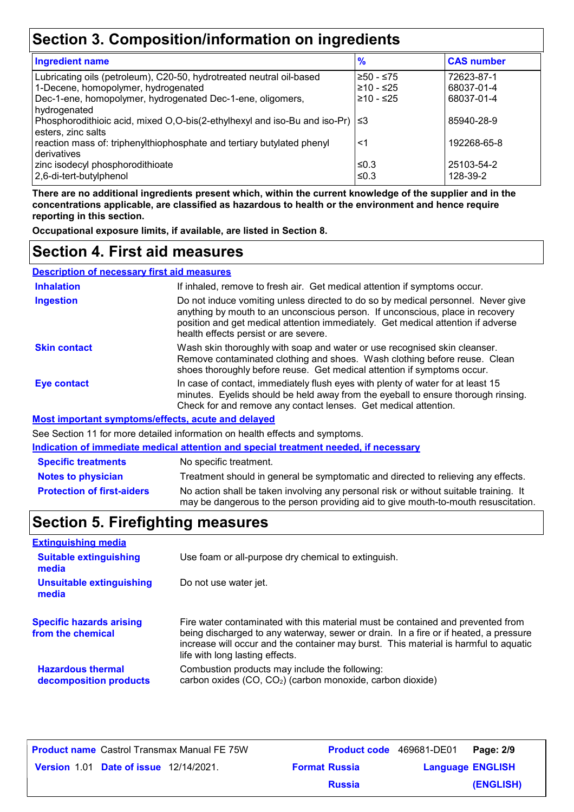### **Section 3. Composition/information on ingredients**

| <b>Ingredient name</b>                                                                                                                                                    | $\frac{9}{6}$                       | <b>CAS number</b>                      |
|---------------------------------------------------------------------------------------------------------------------------------------------------------------------------|-------------------------------------|----------------------------------------|
| Lubricating oils (petroleum), C20-50, hydrotreated neutral oil-based<br>1-Decene, homopolymer, hydrogenated<br>Dec-1-ene, homopolymer, hydrogenated Dec-1-ene, oligomers, | ≥50 - ≤75<br>≥10 - ≤25<br>≥10 - ≤25 | 72623-87-1<br>68037-01-4<br>68037-01-4 |
| hydrogenated<br>Phosphorodithioic acid, mixed O,O-bis(2-ethylhexyl and iso-Bu and iso-Pr) $  \leq 3$<br>esters, zinc salts                                                |                                     | 85940-28-9                             |
| reaction mass of: triphenylthiophosphate and tertiary butylated phenyl<br>derivatives                                                                                     | <1                                  | 192268-65-8                            |
| zinc isodecyl phosphorodithioate<br>2,6-di-tert-butylphenol                                                                                                               | ≤0.3<br>≤0.3                        | 25103-54-2<br>128-39-2                 |

**There are no additional ingredients present which, within the current knowledge of the supplier and in the concentrations applicable, are classified as hazardous to health or the environment and hence require reporting in this section.**

**Occupational exposure limits, if available, are listed in Section 8.**

### **Section 4. First aid measures**

| <b>Description of necessary first aid measures</b> |                                                                                                                                                                                                                                                                                                |
|----------------------------------------------------|------------------------------------------------------------------------------------------------------------------------------------------------------------------------------------------------------------------------------------------------------------------------------------------------|
| <b>Inhalation</b>                                  | If inhaled, remove to fresh air. Get medical attention if symptoms occur.                                                                                                                                                                                                                      |
| <b>Ingestion</b>                                   | Do not induce vomiting unless directed to do so by medical personnel. Never give<br>anything by mouth to an unconscious person. If unconscious, place in recovery<br>position and get medical attention immediately. Get medical attention if adverse<br>health effects persist or are severe. |
| <b>Skin contact</b>                                | Wash skin thoroughly with soap and water or use recognised skin cleanser.<br>Remove contaminated clothing and shoes. Wash clothing before reuse. Clean<br>shoes thoroughly before reuse. Get medical attention if symptoms occur.                                                              |
| <b>Eye contact</b>                                 | In case of contact, immediately flush eyes with plenty of water for at least 15<br>minutes. Eyelids should be held away from the eyeball to ensure thorough rinsing.<br>Check for and remove any contact lenses. Get medical attention.                                                        |
|                                                    | Most important symptoms/effects, acute and delayed                                                                                                                                                                                                                                             |
|                                                    |                                                                                                                                                                                                                                                                                                |

See Section 11 for more detailed information on health effects and symptoms.

#### **Indication of immediate medical attention and special treatment needed, if necessary**

| <b>Specific treatments</b>        | No specific treatment.                                                                                                                                                      |
|-----------------------------------|-----------------------------------------------------------------------------------------------------------------------------------------------------------------------------|
| <b>Notes to physician</b>         | Treatment should in general be symptomatic and directed to relieving any effects.                                                                                           |
| <b>Protection of first-aiders</b> | No action shall be taken involving any personal risk or without suitable training. It<br>may be dangerous to the person providing aid to give mouth-to-mouth resuscitation. |

### **Section 5. Firefighting measures**

| <b>Extinguishing media</b>                           |                                                                                                                                                                                                                                                                                                    |
|------------------------------------------------------|----------------------------------------------------------------------------------------------------------------------------------------------------------------------------------------------------------------------------------------------------------------------------------------------------|
| <b>Suitable extinguishing</b><br>media               | Use foam or all-purpose dry chemical to extinguish.                                                                                                                                                                                                                                                |
| <b>Unsuitable extinguishing</b><br>media             | Do not use water jet.                                                                                                                                                                                                                                                                              |
| <b>Specific hazards arising</b><br>from the chemical | Fire water contaminated with this material must be contained and prevented from<br>being discharged to any waterway, sewer or drain. In a fire or if heated, a pressure<br>increase will occur and the container may burst. This material is harmful to aquatic<br>life with long lasting effects. |
| <b>Hazardous thermal</b><br>decomposition products   | Combustion products may include the following:<br>carbon oxides (CO, CO <sub>2</sub> ) (carbon monoxide, carbon dioxide)                                                                                                                                                                           |

| <b>Product name</b> Castrol Transmax Manual FE 75W |                      | <b>Product code</b> 469681-DE01 | Page: 2/9 |
|----------------------------------------------------|----------------------|---------------------------------|-----------|
| <b>Version 1.01 Date of issue 12/14/2021.</b>      | <b>Format Russia</b> | <b>Language ENGLISH</b>         |           |
|                                                    | <b>Russia</b>        |                                 | (ENGLISH) |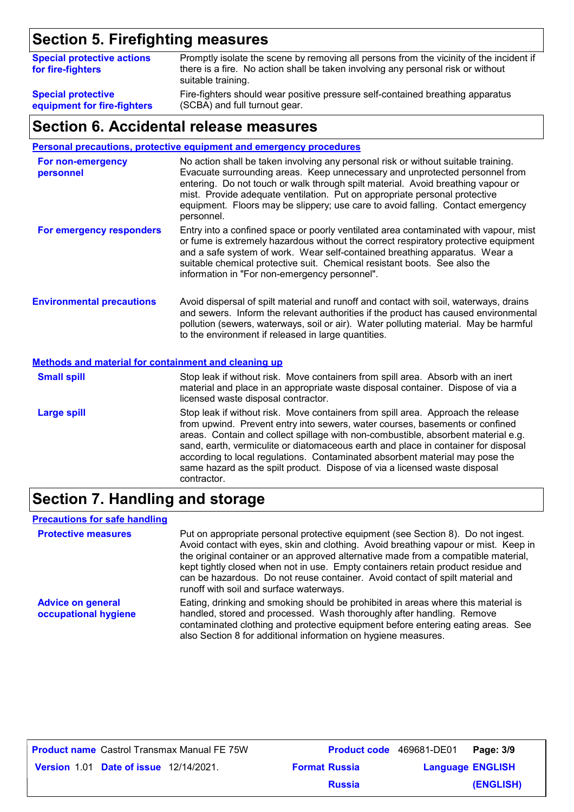### **Section 5. Firefighting measures**

| <b>Special protective actions</b><br>for fire-fighters | Promptly isolate the scene by removing all persons from the vicinity of the incident if<br>there is a fire. No action shall be taken involving any personal risk or without<br>suitable training. |
|--------------------------------------------------------|---------------------------------------------------------------------------------------------------------------------------------------------------------------------------------------------------|
| <b>Special protective</b>                              | Fire-fighters should wear positive pressure self-contained breathing apparatus                                                                                                                    |
| equipment for fire-fighters                            | (SCBA) and full turnout gear.                                                                                                                                                                     |

### **Section 6. Accidental release measures**

**Personal precautions, protective equipment and emergency procedures**

| For non-emergency<br>personnel                              | No action shall be taken involving any personal risk or without suitable training.<br>Evacuate surrounding areas. Keep unnecessary and unprotected personnel from<br>entering. Do not touch or walk through spilt material. Avoid breathing vapour or<br>mist. Provide adequate ventilation. Put on appropriate personal protective<br>equipment. Floors may be slippery; use care to avoid falling. Contact emergency<br>personnel. |
|-------------------------------------------------------------|--------------------------------------------------------------------------------------------------------------------------------------------------------------------------------------------------------------------------------------------------------------------------------------------------------------------------------------------------------------------------------------------------------------------------------------|
| For emergency responders                                    | Entry into a confined space or poorly ventilated area contaminated with vapour, mist<br>or fume is extremely hazardous without the correct respiratory protective equipment<br>and a safe system of work. Wear self-contained breathing apparatus. Wear a<br>suitable chemical protective suit. Chemical resistant boots. See also the<br>information in "For non-emergency personnel".                                              |
| <b>Environmental precautions</b>                            | Avoid dispersal of spilt material and runoff and contact with soil, waterways, drains<br>and sewers. Inform the relevant authorities if the product has caused environmental<br>pollution (sewers, waterways, soil or air). Water polluting material. May be harmful<br>to the environment if released in large quantities.                                                                                                          |
| <b>Methods and material for containment and cleaning up</b> |                                                                                                                                                                                                                                                                                                                                                                                                                                      |
| <b>Small spill</b>                                          | Stop leak if without risk. Move containers from spill area. Absorb with an inert<br>material and place in an appropriate waste disposal container. Dispose of via a<br>licensed waste disposal contractor.                                                                                                                                                                                                                           |
| <b>Large spill</b>                                          | Stop leak if without risk. Move containers from spill area. Approach the release<br>from upwind. Prevent entry into sewers, water courses, basements or confined<br>areas. Contain and collect spillage with non-combustible, absorbent material e.g.<br>sand, earth, vermiculite or diatomaceous earth and place in container for disposal<br>according to local regulations. Contaminated absorbent material may pose the          |

### **Section 7. Handling and storage**

contractor.

#### **Precautions for safe handling**

**Protective measures** Put on appropriate personal protective equipment (see Section 8). Do not ingest. Avoid contact with eyes, skin and clothing. Avoid breathing vapour or mist. Keep in the original container or an approved alternative made from a compatible material, kept tightly closed when not in use. Empty containers retain product residue and can be hazardous. Do not reuse container. Avoid contact of spilt material and runoff with soil and surface waterways. **Advice on general occupational hygiene** Eating, drinking and smoking should be prohibited in areas where this material is handled, stored and processed. Wash thoroughly after handling. Remove contaminated clothing and protective equipment before entering eating areas. See also Section 8 for additional information on hygiene measures.

same hazard as the spilt product. Dispose of via a licensed waste disposal

| <b>Product name</b> Castrol Transmax Manual FE 75W |                      | <b>Product code</b> 469681-DE01 Page: 3/9 |           |
|----------------------------------------------------|----------------------|-------------------------------------------|-----------|
| <b>Version 1.01 Date of issue 12/14/2021.</b>      | <b>Format Russia</b> | <b>Language ENGLISH</b>                   |           |
|                                                    | <b>Russia</b>        |                                           | (ENGLISH) |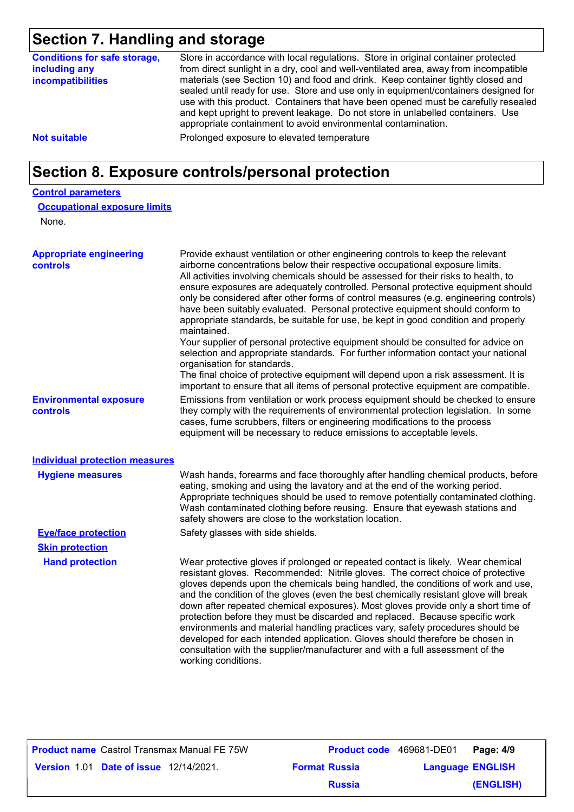### **Section 7. Handling and storage**

| <b>Conditions for safe storage,</b><br>including any<br>incompatibilities | Store in accordance with local regulations. Store in original container protected<br>from direct sunlight in a dry, cool and well-ventilated area, away from incompatible<br>materials (see Section 10) and food and drink. Keep container tightly closed and<br>sealed until ready for use. Store and use only in equipment/containers designed for<br>use with this product. Containers that have been opened must be carefully resealed<br>and kept upright to prevent leakage. Do not store in unlabelled containers. Use<br>appropriate containment to avoid environmental contamination. |
|---------------------------------------------------------------------------|------------------------------------------------------------------------------------------------------------------------------------------------------------------------------------------------------------------------------------------------------------------------------------------------------------------------------------------------------------------------------------------------------------------------------------------------------------------------------------------------------------------------------------------------------------------------------------------------|
| <b>Not suitable</b>                                                       | Prolonged exposure to elevated temperature                                                                                                                                                                                                                                                                                                                                                                                                                                                                                                                                                     |
|                                                                           |                                                                                                                                                                                                                                                                                                                                                                                                                                                                                                                                                                                                |

### **Section 8. Exposure controls/personal protection**

#### **Control parameters**

| <b>Occupational exposure limits</b> |
|-------------------------------------|
|-------------------------------------|

None.

| <b>Appropriate engineering</b><br><b>controls</b> | Provide exhaust ventilation or other engineering controls to keep the relevant<br>airborne concentrations below their respective occupational exposure limits.<br>All activities involving chemicals should be assessed for their risks to health, to<br>ensure exposures are adequately controlled. Personal protective equipment should<br>only be considered after other forms of control measures (e.g. engineering controls)<br>have been suitably evaluated. Personal protective equipment should conform to<br>appropriate standards, be suitable for use, be kept in good condition and properly<br>maintained.<br>Your supplier of personal protective equipment should be consulted for advice on<br>selection and appropriate standards. For further information contact your national<br>organisation for standards.<br>The final choice of protective equipment will depend upon a risk assessment. It is<br>important to ensure that all items of personal protective equipment are compatible. |
|---------------------------------------------------|---------------------------------------------------------------------------------------------------------------------------------------------------------------------------------------------------------------------------------------------------------------------------------------------------------------------------------------------------------------------------------------------------------------------------------------------------------------------------------------------------------------------------------------------------------------------------------------------------------------------------------------------------------------------------------------------------------------------------------------------------------------------------------------------------------------------------------------------------------------------------------------------------------------------------------------------------------------------------------------------------------------|
| <b>Environmental exposure</b><br>controls         | Emissions from ventilation or work process equipment should be checked to ensure<br>they comply with the requirements of environmental protection legislation. In some<br>cases, fume scrubbers, filters or engineering modifications to the process<br>equipment will be necessary to reduce emissions to acceptable levels.                                                                                                                                                                                                                                                                                                                                                                                                                                                                                                                                                                                                                                                                                 |
| <b>Individual protection measures</b>             |                                                                                                                                                                                                                                                                                                                                                                                                                                                                                                                                                                                                                                                                                                                                                                                                                                                                                                                                                                                                               |
| <b>Hygiene measures</b>                           | Wash hands, forearms and face thoroughly after handling chemical products, before<br>eating, smoking and using the lavatory and at the end of the working period.<br>Appropriate techniques should be used to remove potentially contaminated clothing.<br>Wash contaminated clothing before reusing. Ensure that eyewash stations and<br>safety showers are close to the workstation location.                                                                                                                                                                                                                                                                                                                                                                                                                                                                                                                                                                                                               |
| <b>Eye/face protection</b>                        | Safety glasses with side shields.                                                                                                                                                                                                                                                                                                                                                                                                                                                                                                                                                                                                                                                                                                                                                                                                                                                                                                                                                                             |
| <b>Skin protection</b>                            |                                                                                                                                                                                                                                                                                                                                                                                                                                                                                                                                                                                                                                                                                                                                                                                                                                                                                                                                                                                                               |
| <b>Hand protection</b>                            | Wear protective gloves if prolonged or repeated contact is likely. Wear chemical<br>resistant gloves. Recommended: Nitrile gloves. The correct choice of protective<br>gloves depends upon the chemicals being handled, the conditions of work and use,<br>and the condition of the gloves (even the best chemically resistant glove will break<br>down after repeated chemical exposures). Most gloves provide only a short time of<br>protection before they must be discarded and replaced. Because specific work<br>environments and material handling practices vary, safety procedures should be<br>developed for each intended application. Gloves should therefore be chosen in<br>consultation with the supplier/manufacturer and with a full assessment of the<br>working conditions.                                                                                                                                                                                                               |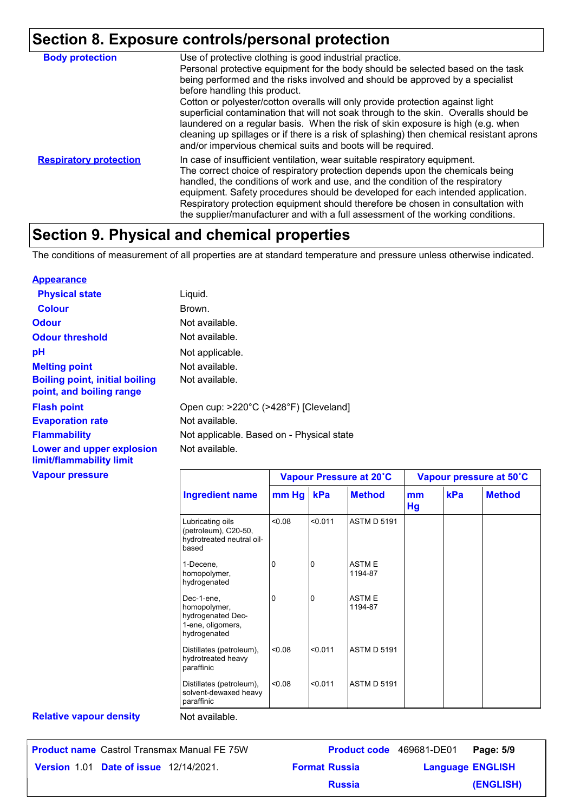# **Section 8. Exposure controls/personal protection**

| <b>Body protection</b>        | Use of protective clothing is good industrial practice.<br>Personal protective equipment for the body should be selected based on the task<br>being performed and the risks involved and should be approved by a specialist<br>before handling this product.<br>Cotton or polyester/cotton overalls will only provide protection against light<br>superficial contamination that will not soak through to the skin. Overalls should be<br>laundered on a regular basis. When the risk of skin exposure is high (e.g. when<br>cleaning up spillages or if there is a risk of splashing) then chemical resistant aprons<br>and/or impervious chemical suits and boots will be required. |
|-------------------------------|---------------------------------------------------------------------------------------------------------------------------------------------------------------------------------------------------------------------------------------------------------------------------------------------------------------------------------------------------------------------------------------------------------------------------------------------------------------------------------------------------------------------------------------------------------------------------------------------------------------------------------------------------------------------------------------|
| <b>Respiratory protection</b> | In case of insufficient ventilation, wear suitable respiratory equipment.<br>The correct choice of respiratory protection depends upon the chemicals being<br>handled, the conditions of work and use, and the condition of the respiratory<br>equipment. Safety procedures should be developed for each intended application.<br>Respiratory protection equipment should therefore be chosen in consultation with<br>the supplier/manufacturer and with a full assessment of the working conditions.                                                                                                                                                                                 |

### **Section 9. Physical and chemical properties**

The conditions of measurement of all properties are at standard temperature and pressure unless otherwise indicated.

#### **Appearance**

| <b>Physical state</b>                                             | Liquid.                                   |
|-------------------------------------------------------------------|-------------------------------------------|
| <b>Colour</b>                                                     | Brown.                                    |
| <b>Odour</b>                                                      | Not available.                            |
| <b>Odour threshold</b>                                            | Not available.                            |
| pH                                                                | Not applicable.                           |
| <b>Melting point</b>                                              | Not available.                            |
| <b>Boiling point, initial boiling</b><br>point, and boiling range | Not available.                            |
| <b>Flash point</b>                                                | Open cup: >220°C (>428°F) [Cleveland]     |
| <b>Evaporation rate</b>                                           | Not available.                            |
| <b>Flammability</b>                                               | Not applicable. Based on - Physical state |
| Lower and upper explosion<br>limit/flammability limit             | Not available.                            |

#### **Vapour pressure**

|                                                                                      | Vapour Pressure at 20°C |         | Vapour pressure at 50°C |          |     |               |
|--------------------------------------------------------------------------------------|-------------------------|---------|-------------------------|----------|-----|---------------|
| <b>Ingredient name</b>                                                               | mm Hg                   | kPa     | <b>Method</b>           | mm<br>Hg | kPa | <b>Method</b> |
| Lubricating oils<br>(petroleum), C20-50,<br>hydrotreated neutral oil-<br>based       | 0.08                    | < 0.011 | <b>ASTM D 5191</b>      |          |     |               |
| 1-Decene,<br>homopolymer,<br>hydrogenated                                            | 0                       | 0       | <b>ASTME</b><br>1194-87 |          |     |               |
| Dec-1-ene,<br>homopolymer,<br>hydrogenated Dec-<br>1-ene, oligomers,<br>hydrogenated | 0                       | 0       | <b>ASTME</b><br>1194-87 |          |     |               |
| Distillates (petroleum),<br>hydrotreated heavy<br>paraffinic                         | < 0.08                  | < 0.011 | <b>ASTM D 5191</b>      |          |     |               |
| Distillates (petroleum),<br>solvent-dewaxed heavy<br>paraffinic                      | < 0.08                  | < 0.011 | <b>ASTM D 5191</b>      |          |     |               |

#### **Relative vapour density**

Not available.

|                                               | <b>Product name</b> Castrol Transmax Manual FE 75W | <b>Product code</b> 469681-DE01 |                         | Page: 5/9 |
|-----------------------------------------------|----------------------------------------------------|---------------------------------|-------------------------|-----------|
| <b>Version 1.01 Date of issue 12/14/2021.</b> |                                                    | <b>Format Russia</b>            | <b>Language ENGLISH</b> |           |
|                                               |                                                    | <b>Russia</b>                   |                         | (ENGLISH) |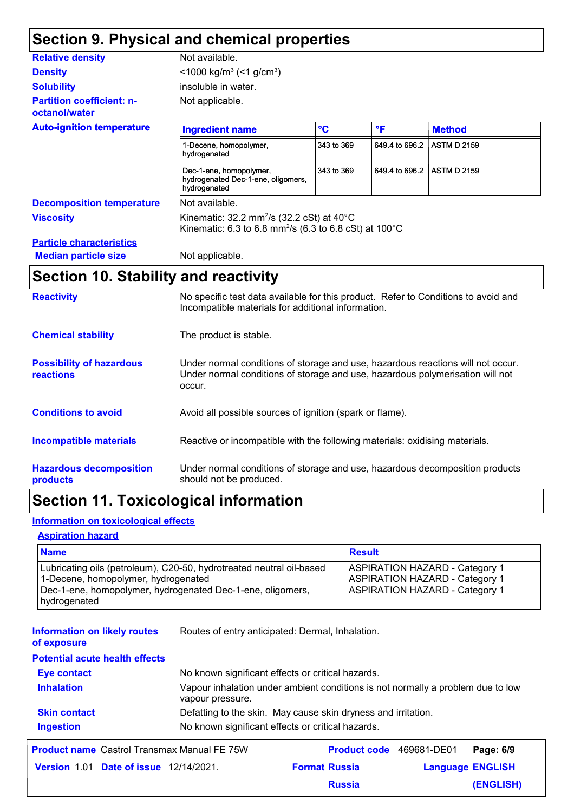### **Section 9. Physical and chemical properties**

| <b>Relative density</b>                           | Not available.                                                                                                                              |              |                |                    |
|---------------------------------------------------|---------------------------------------------------------------------------------------------------------------------------------------------|--------------|----------------|--------------------|
| <b>Density</b>                                    | <1000 kg/m <sup>3</sup> (<1 g/cm <sup>3</sup> )                                                                                             |              |                |                    |
| <b>Solubility</b>                                 | insoluble in water.                                                                                                                         |              |                |                    |
| <b>Partition coefficient: n-</b><br>octanol/water | Not applicable.                                                                                                                             |              |                |                    |
| <b>Auto-ignition temperature</b>                  | <b>Ingredient name</b>                                                                                                                      | $\mathbf{C}$ | $\mathsf{P}$   | <b>Method</b>      |
|                                                   | 1-Decene, homopolymer,<br>hydrogenated                                                                                                      | 343 to 369   | 649.4 to 696.2 | <b>ASTM D 2159</b> |
|                                                   | Dec-1-ene, homopolymer,<br>hydrogenated Dec-1-ene, oligomers,<br>hydrogenated                                                               | 343 to 369   | 649.4 to 696.2 | <b>ASTM D 2159</b> |
| <b>Decomposition temperature</b>                  | Not available.                                                                                                                              |              |                |                    |
| <b>Viscosity</b>                                  | Kinematic: $32.2 \text{ mm}^2/\text{s}$ (32.2 cSt) at 40°C<br>Kinematic: 6.3 to 6.8 mm <sup>2</sup> /s (6.3 to 6.8 cSt) at 100 $^{\circ}$ C |              |                |                    |
| <b>Particle characteristics</b>                   |                                                                                                                                             |              |                |                    |
| <b>Median particle size</b>                       | Not applicable.                                                                                                                             |              |                |                    |

# **Section 10. Stability and reactivity**

| <b>Reactivity</b>                            | No specific test data available for this product. Refer to Conditions to avoid and<br>Incompatible materials for additional information.                                   |
|----------------------------------------------|----------------------------------------------------------------------------------------------------------------------------------------------------------------------------|
| <b>Chemical stability</b>                    | The product is stable.                                                                                                                                                     |
| <b>Possibility of hazardous</b><br>reactions | Under normal conditions of storage and use, hazardous reactions will not occur.<br>Under normal conditions of storage and use, hazardous polymerisation will not<br>occur. |
| <b>Conditions to avoid</b>                   | Avoid all possible sources of ignition (spark or flame).                                                                                                                   |
| <b>Incompatible materials</b>                | Reactive or incompatible with the following materials: oxidising materials.                                                                                                |
| <b>Hazardous decomposition</b><br>products   | Under normal conditions of storage and use, hazardous decomposition products<br>should not be produced.                                                                    |

## **Section 11. Toxicological information**

#### **Information on toxicological effects**

#### **Aspiration hazard**

| <b>Name</b>                                                                                                                                                               | <b>Result</b>                                                                                                           |
|---------------------------------------------------------------------------------------------------------------------------------------------------------------------------|-------------------------------------------------------------------------------------------------------------------------|
| Lubricating oils (petroleum), C20-50, hydrotreated neutral oil-based<br>1-Decene, homopolymer, hydrogenated<br>Dec-1-ene, homopolymer, hydrogenated Dec-1-ene, oligomers, | <b>ASPIRATION HAZARD - Category 1</b><br><b>ASPIRATION HAZARD - Category 1</b><br><b>ASPIRATION HAZARD - Category 1</b> |
| hydrogenated                                                                                                                                                              |                                                                                                                         |

| <b>Information on likely routes</b><br>of exposure | Routes of entry anticipated: Dermal, Inhalation.                                                    |                          |                         |           |
|----------------------------------------------------|-----------------------------------------------------------------------------------------------------|--------------------------|-------------------------|-----------|
| <b>Potential acute health effects</b>              |                                                                                                     |                          |                         |           |
| <b>Eye contact</b>                                 | No known significant effects or critical hazards.                                                   |                          |                         |           |
| <b>Inhalation</b>                                  | Vapour inhalation under ambient conditions is not normally a problem due to low<br>vapour pressure. |                          |                         |           |
| <b>Skin contact</b>                                | Defatting to the skin. May cause skin dryness and irritation.                                       |                          |                         |           |
| <b>Ingestion</b>                                   | No known significant effects or critical hazards.                                                   |                          |                         |           |
| <b>Product name Castrol Transmax Manual FE 75W</b> |                                                                                                     | Product code 469681-DE01 |                         | Page: 6/9 |
| <b>Version 1.01 Date of issue 12/14/2021.</b>      | <b>Format Russia</b>                                                                                |                          | <b>Language ENGLISH</b> |           |
|                                                    |                                                                                                     | <b>Russia</b>            |                         | (ENGLISH) |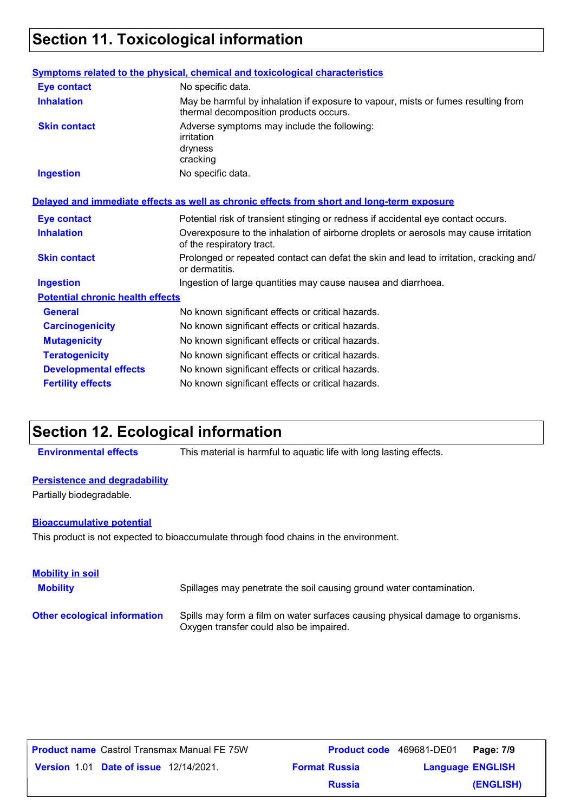### **Section 11. Toxicological information**

|                                         | <b>Symptoms related to the physical, chemical and toxicological characteristics</b>                                         |
|-----------------------------------------|-----------------------------------------------------------------------------------------------------------------------------|
| <b>Eye contact</b>                      | No specific data.                                                                                                           |
| <b>Inhalation</b>                       | May be harmful by inhalation if exposure to vapour, mists or fumes resulting from<br>thermal decomposition products occurs. |
| <b>Skin contact</b>                     | Adverse symptoms may include the following:<br>irritation<br>dryness<br>cracking                                            |
| <b>Ingestion</b>                        | No specific data.                                                                                                           |
|                                         | Delayed and immediate effects as well as chronic effects from short and long-term exposure                                  |
| <b>Eye contact</b>                      | Potential risk of transient stinging or redness if accidental eye contact occurs.                                           |
| <b>Inhalation</b>                       | Overexposure to the inhalation of airborne droplets or aerosols may cause irritation<br>of the respiratory tract.           |
| <b>Skin contact</b>                     | Prolonged or repeated contact can defat the skin and lead to irritation, cracking and/<br>or dermatitis.                    |
| <b>Ingestion</b>                        | Ingestion of large quantities may cause nausea and diarrhoea.                                                               |
| <b>Potential chronic health effects</b> |                                                                                                                             |
| <b>General</b>                          | No known significant effects or critical hazards.                                                                           |
| <b>Carcinogenicity</b>                  | No known significant effects or critical hazards.                                                                           |
| <b>Mutagenicity</b>                     | No known significant effects or critical hazards.                                                                           |
| <b>Teratogenicity</b>                   | No known significant effects or critical hazards.                                                                           |
| <b>Developmental effects</b>            | No known significant effects or critical hazards.                                                                           |
| <b>Fertility effects</b>                | No known significant effects or critical hazards.                                                                           |

### **Section 12. Ecological information**

**Environmental effects** This material is harmful to aquatic life with long lasting effects.

#### **Persistence and degradability**

Partially biodegradable.

#### **Bioaccumulative potential**

This product is not expected to bioaccumulate through food chains in the environment.

| <b>Mobility in soil</b><br><b>Mobility</b> | Spillages may penetrate the soil causing ground water contamination.                                                      |
|--------------------------------------------|---------------------------------------------------------------------------------------------------------------------------|
| <b>Other ecological information</b>        | Spills may form a film on water surfaces causing physical damage to organisms.<br>Oxygen transfer could also be impaired. |

| <b>Product name</b> Castrol Transmax Manual FE 75W |                      | <b>Product code</b> 469681-DE01 | Page: 7/9 |
|----------------------------------------------------|----------------------|---------------------------------|-----------|
| <b>Version 1.01 Date of issue 12/14/2021.</b>      | <b>Format Russia</b> | <b>Language ENGLISH</b>         |           |
|                                                    | <b>Russia</b>        |                                 | (ENGLISH) |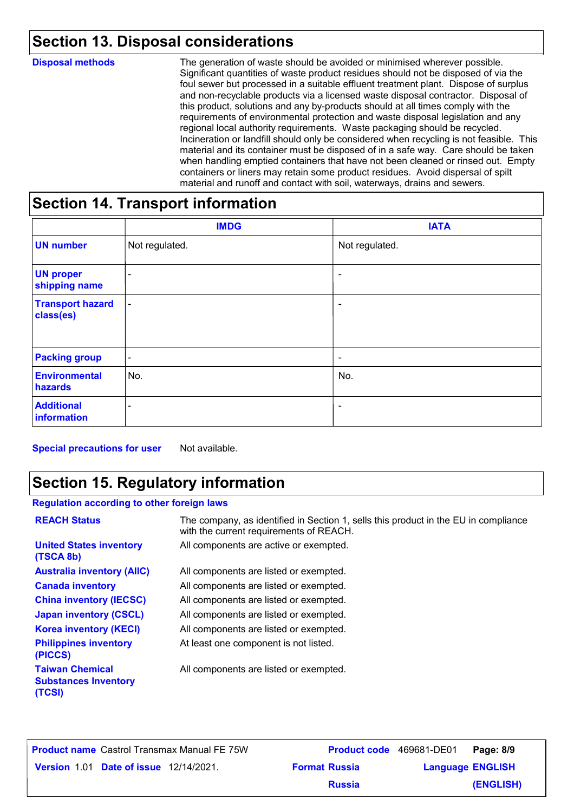# **Section 13. Disposal considerations**

| <b>Disposal methods</b> | The generation of waste should be avoided or minimised wherever possible.<br>Significant quantities of waste product residues should not be disposed of via the<br>foul sewer but processed in a suitable effluent treatment plant. Dispose of surplus<br>and non-recyclable products via a licensed waste disposal contractor. Disposal of<br>this product, solutions and any by-products should at all times comply with the<br>requirements of environmental protection and waste disposal legislation and any<br>regional local authority requirements. Waste packaging should be recycled.<br>Incineration or landfill should only be considered when recycling is not feasible. This<br>material and its container must be disposed of in a safe way. Care should be taken<br>when handling emptied containers that have not been cleaned or rinsed out. Empty<br>containers or liners may retain some product residues. Avoid dispersal of spilt<br>material and runoff and contact with soil, waterways, drains and sewers. |
|-------------------------|-------------------------------------------------------------------------------------------------------------------------------------------------------------------------------------------------------------------------------------------------------------------------------------------------------------------------------------------------------------------------------------------------------------------------------------------------------------------------------------------------------------------------------------------------------------------------------------------------------------------------------------------------------------------------------------------------------------------------------------------------------------------------------------------------------------------------------------------------------------------------------------------------------------------------------------------------------------------------------------------------------------------------------------|
|-------------------------|-------------------------------------------------------------------------------------------------------------------------------------------------------------------------------------------------------------------------------------------------------------------------------------------------------------------------------------------------------------------------------------------------------------------------------------------------------------------------------------------------------------------------------------------------------------------------------------------------------------------------------------------------------------------------------------------------------------------------------------------------------------------------------------------------------------------------------------------------------------------------------------------------------------------------------------------------------------------------------------------------------------------------------------|

### **Section 14. Transport information**

|                                      | <b>IMDG</b>              | <b>IATA</b>              |
|--------------------------------------|--------------------------|--------------------------|
| <b>UN number</b>                     | Not regulated.           | Not regulated.           |
| <b>UN proper</b><br>shipping name    | $\overline{\phantom{a}}$ | $\overline{\phantom{a}}$ |
| <b>Transport hazard</b><br>class(es) | $\blacksquare$           | $\overline{\phantom{a}}$ |
| <b>Packing group</b>                 | $\overline{\phantom{a}}$ | $\overline{\phantom{a}}$ |
| <b>Environmental</b><br>hazards      | No.                      | No.                      |
| <b>Additional</b><br>information     | ۰                        | ۰                        |

**Special precautions for user** Not available.

### **Section 15. Regulatory information**

| <b>Regulation according to other foreign laws</b>               |                                                                                                                                |  |
|-----------------------------------------------------------------|--------------------------------------------------------------------------------------------------------------------------------|--|
| <b>REACH Status</b>                                             | The company, as identified in Section 1, sells this product in the EU in compliance<br>with the current requirements of REACH. |  |
| <b>United States inventory</b><br>(TSCA 8b)                     | All components are active or exempted.                                                                                         |  |
| <b>Australia inventory (AIIC)</b>                               | All components are listed or exempted.                                                                                         |  |
| <b>Canada inventory</b>                                         | All components are listed or exempted.                                                                                         |  |
| <b>China inventory (IECSC)</b>                                  | All components are listed or exempted.                                                                                         |  |
| <b>Japan inventory (CSCL)</b>                                   | All components are listed or exempted.                                                                                         |  |
| <b>Korea inventory (KECI)</b>                                   | All components are listed or exempted.                                                                                         |  |
| <b>Philippines inventory</b><br>(PICCS)                         | At least one component is not listed.                                                                                          |  |
| <b>Taiwan Chemical</b><br><b>Substances Inventory</b><br>(TCSI) | All components are listed or exempted.                                                                                         |  |

| <b>Product name</b> Castrol Transmax Manual FE 75W | <b>Product code</b> 469681-DE01 |                         | Page: 8/9 |
|----------------------------------------------------|---------------------------------|-------------------------|-----------|
| <b>Version 1.01 Date of issue 12/14/2021.</b>      | <b>Format Russia</b>            | <b>Language ENGLISH</b> |           |
|                                                    | <b>Russia</b>                   |                         | (ENGLISH) |